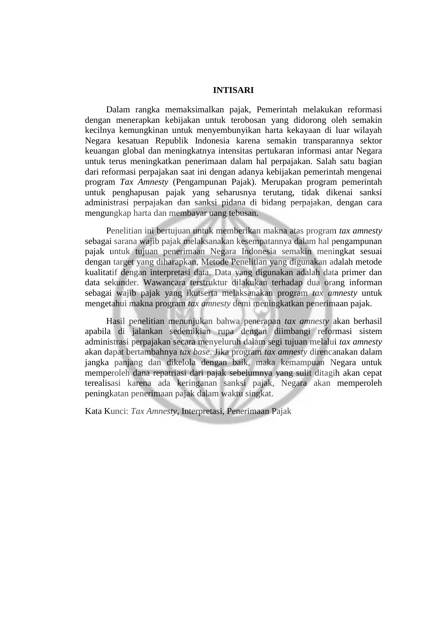## **INTISARI**

Dalam rangka memaksimalkan pajak, Pemerintah melakukan reformasi dengan menerapkan kebijakan untuk terobosan yang didorong oleh semakin kecilnya kemungkinan untuk menyembunyikan harta kekayaan di luar wilayah Negara kesatuan Republik Indonesia karena semakin transparannya sektor keuangan global dan meningkatnya intensitas pertukaran informasi antar Negara untuk terus meningkatkan penerimaan dalam hal perpajakan. Salah satu bagian dari reformasi perpajakan saat ini dengan adanya kebijakan pemerintah mengenai program *Tax Amnesty* (Pengampunan Pajak). Merupakan program pemerintah untuk penghapusan pajak yang seharusnya terutang, tidak dikenai sanksi administrasi perpajakan dan sanksi pidana di bidang perpajakan, dengan cara mengungkap harta dan membayar uang tebusan.

Penelitian ini bertujuan untuk memberikan makna atas program *tax amnesty* sebagai sarana wajib pajak melaksanakan kesempatannya dalam hal pengampunan pajak untuk tujuan penerimaan Negara Indonesia semakin meningkat sesuai dengan target yang diharapkan, Metode Penelitian yang digunakan adalah metode kualitatif dengan interpretasi data. Data yang digunakan adalah data primer dan data sekunder. Wawancara terstruktur dilakukan terhadap dua orang informan sebagai wajib pajak yang ikutserta melaksanakan program *tax amnesty* untuk mengetahui makna program *tax amnesty* demi meningkatkan penerimaan pajak.

Hasil penelitian menunjukan bahwa penerapan *tax amnesty* akan berhasil apabila di jalankan sedemikian rupa dengan diimbangi reformasi sistem administrasi perpajakan secara menyeluruh dalam segi tujuan melalui *tax amnesty* akan dapat bertambahnya *tax base*. Jika program *tax amnesty* direncanakan dalam jangka panjang dan dikelola dengan baik, maka kemampuan Negara untuk memperoleh dana repatriasi dari pajak sebelumnya yang sulit ditagih akan cepat terealisasi karena ada keringanan sanksi pajak, Negara akan memperoleh peningkatan penerimaan pajak dalam waktu singkat.

Kata Kunci: *Tax Amnesty*, Interpretasi, Penerimaan Pajak